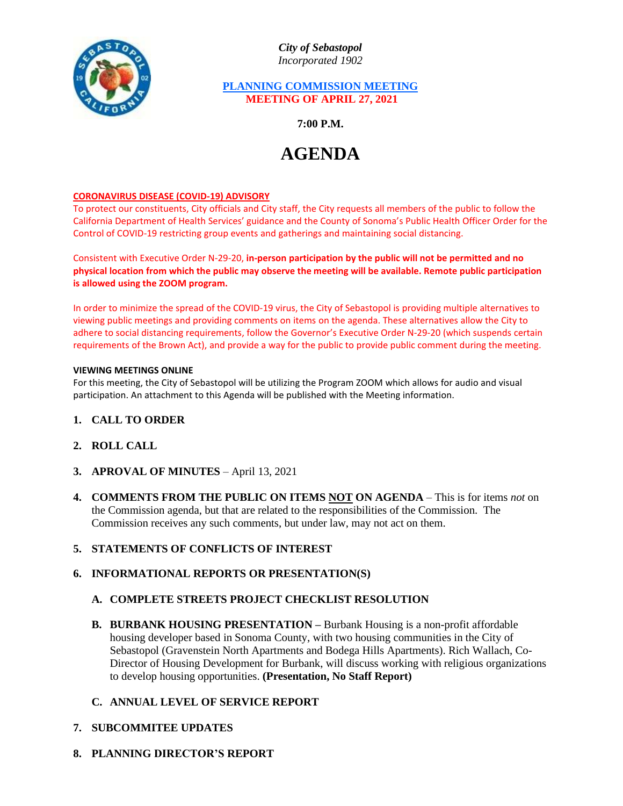

*City of Sebastopol Incorporated 1902*

## **PLANNING COMMISSION MEETING MEETING OF APRIL 27, 2021**

**7:00 P.M.**

# **AGENDA**

## **CORONAVIRUS DISEASE (COVID-19) ADVISORY**

To protect our constituents, City officials and City staff, the City requests all members of the public to follow the California Department of Health Services' guidance and the County of Sonoma's Public Health Officer Order for the Control of COVID-19 restricting group events and gatherings and maintaining social distancing.

Consistent with Executive Order N-29-20, **in-person participation by the public will not be permitted and no physical location from which the public may observe the meeting will be available. Remote public participation is allowed using the ZOOM program.**

In order to minimize the spread of the COVID-19 virus, the City of Sebastopol is providing multiple alternatives to viewing public meetings and providing comments on items on the agenda. These alternatives allow the City to adhere to social distancing requirements, follow the Governor's Executive Order N-29-20 (which suspends certain requirements of the Brown Act), and provide a way for the public to provide public comment during the meeting.

#### **VIEWING MEETINGS ONLINE**

For this meeting, the City of Sebastopol will be utilizing the Program ZOOM which allows for audio and visual participation. An attachment to this Agenda will be published with the Meeting information.

- **1. CALL TO ORDER**
- **2. ROLL CALL**
- **3. APROVAL OF MINUTES** April 13, 2021
- **4. COMMENTS FROM THE PUBLIC ON ITEMS NOT ON AGENDA** This is for items *not* on the Commission agenda, but that are related to the responsibilities of the Commission. The Commission receives any such comments, but under law, may not act on them.

## **5. STATEMENTS OF CONFLICTS OF INTEREST**

## **6. INFORMATIONAL REPORTS OR PRESENTATION(S)**

## **A. COMPLETE STREETS PROJECT CHECKLIST RESOLUTION**

**B. BURBANK HOUSING PRESENTATION –** Burbank Housing is a non-profit affordable housing developer based in Sonoma County, with two housing communities in the City of Sebastopol (Gravenstein North Apartments and Bodega Hills Apartments). Rich Wallach, Co-Director of Housing Development for Burbank, will discuss working with religious organizations to develop housing opportunities. **(Presentation, No Staff Report)**

## **C. ANNUAL LEVEL OF SERVICE REPORT**

- **7. SUBCOMMITEE UPDATES**
- **8. PLANNING DIRECTOR'S REPORT**